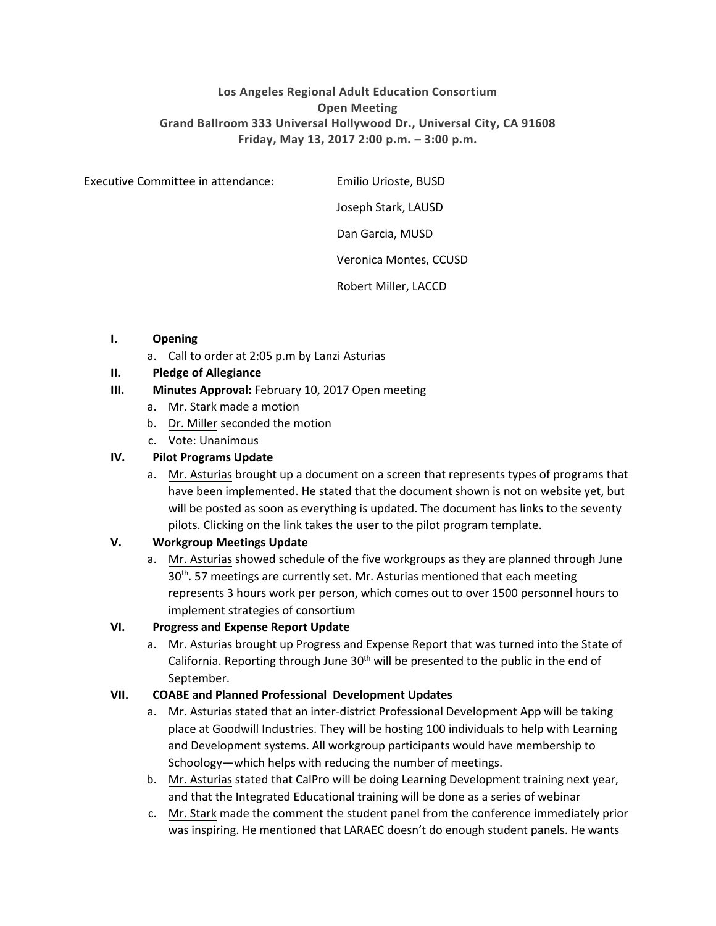# **Los Angeles Regional Adult Education Consortium Open Meeting Grand Ballroom 333 Universal Hollywood Dr., Universal City, CA 91608 Friday, May 13, 2017 2:00 p.m. – 3:00 p.m.**

Executive Committee in attendance: Emilio Urioste, BUSD

Joseph Stark, LAUSD

Dan Garcia, MUSD

Veronica Montes, CCUSD

Robert Miller, LACCD

#### **I. Opening**

a. Call to order at 2:05 p.m by Lanzi Asturias

# **II. Pledge of Allegiance**

#### **III. Minutes Approval:** February 10, 2017 Open meeting

- a. Mr. Stark made a motion
- b. Dr. Miller seconded the motion
- c. Vote: Unanimous

#### **IV. Pilot Programs Update**

a. Mr. Asturias brought up a document on a screen that represents types of programs that have been implemented. He stated that the document shown is not on website yet, but will be posted as soon as everything is updated. The document has links to the seventy pilots. Clicking on the link takes the user to the pilot program template.

#### **V. Workgroup Meetings Update**

a. Mr. Asturias showed schedule of the five workgroups as they are planned through June 30<sup>th</sup>. 57 meetings are currently set. Mr. Asturias mentioned that each meeting represents 3 hours work per person, which comes out to over 1500 personnel hours to implement strategies of consortium

# **VI. Progress and Expense Report Update**

a. Mr. Asturias brought up Progress and Expense Report that was turned into the State of California. Reporting through June 30<sup>th</sup> will be presented to the public in the end of September.

#### **VII. COABE and Planned Professional Development Updates**

- a. Mr. Asturias stated that an inter-district Professional Development App will be taking place at Goodwill Industries. They will be hosting 100 individuals to help with Learning and Development systems. All workgroup participants would have membership to Schoology—which helps with reducing the number of meetings.
- b. Mr. Asturias stated that CalPro will be doing Learning Development training next year, and that the Integrated Educational training will be done as a series of webinar
- c. Mr. Stark made the comment the student panel from the conference immediately prior was inspiring. He mentioned that LARAEC doesn't do enough student panels. He wants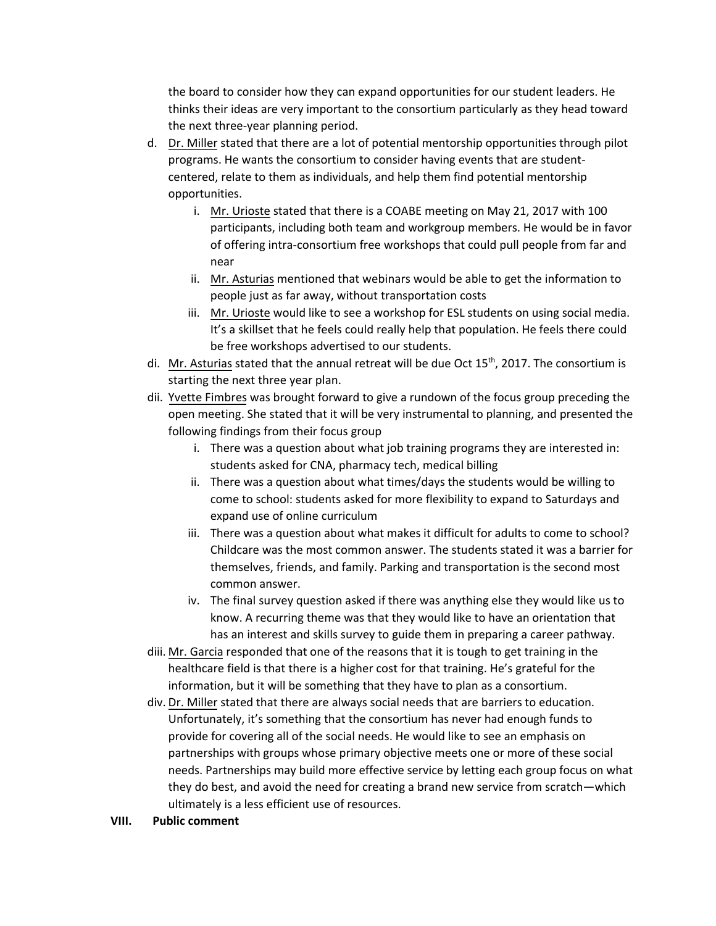the board to consider how they can expand opportunities for our student leaders. He thinks their ideas are very important to the consortium particularly as they head toward the next three-year planning period.

- d. Dr. Miller stated that there are a lot of potential mentorship opportunities through pilot programs. He wants the consortium to consider having events that are studentcentered, relate to them as individuals, and help them find potential mentorship opportunities.
	- i. Mr. Urioste stated that there is a COABE meeting on May 21, 2017 with 100 participants, including both team and workgroup members. He would be in favor of offering intra-consortium free workshops that could pull people from far and near
	- ii. Mr. Asturias mentioned that webinars would be able to get the information to people just as far away, without transportation costs
	- iii. Mr. Urioste would like to see a workshop for ESL students on using social media. It's a skillset that he feels could really help that population. He feels there could be free workshops advertised to our students.
- di. Mr. Asturias stated that the annual retreat will be due Oct 15<sup>th</sup>, 2017. The consortium is starting the next three year plan.
- dii. Yvette Fimbres was brought forward to give a rundown of the focus group preceding the open meeting. She stated that it will be very instrumental to planning, and presented the following findings from their focus group
	- i. There was a question about what job training programs they are interested in: students asked for CNA, pharmacy tech, medical billing
	- ii. There was a question about what times/days the students would be willing to come to school: students asked for more flexibility to expand to Saturdays and expand use of online curriculum
	- iii. There was a question about what makes it difficult for adults to come to school? Childcare was the most common answer. The students stated it was a barrier for themselves, friends, and family. Parking and transportation is the second most common answer.
	- iv. The final survey question asked if there was anything else they would like us to know. A recurring theme was that they would like to have an orientation that has an interest and skills survey to guide them in preparing a career pathway.
- diii. Mr. Garcia responded that one of the reasons that it is tough to get training in the healthcare field is that there is a higher cost for that training. He's grateful for the information, but it will be something that they have to plan as a consortium.
- div. Dr. Miller stated that there are always social needs that are barriers to education. Unfortunately, it's something that the consortium has never had enough funds to provide for covering all of the social needs. He would like to see an emphasis on partnerships with groups whose primary objective meets one or more of these social needs. Partnerships may build more effective service by letting each group focus on what they do best, and avoid the need for creating a brand new service from scratch—which ultimately is a less efficient use of resources.
- **VIII. Public comment**